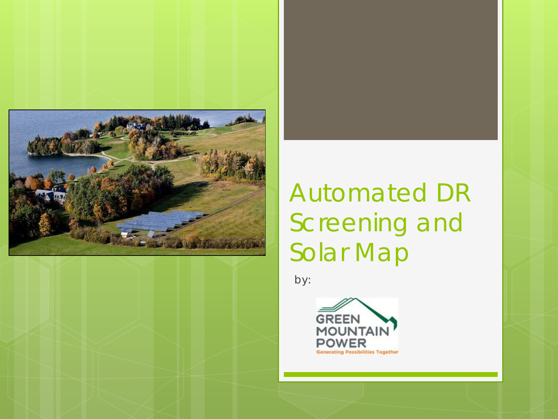

## Automated DR Screening and Solar Map

by:

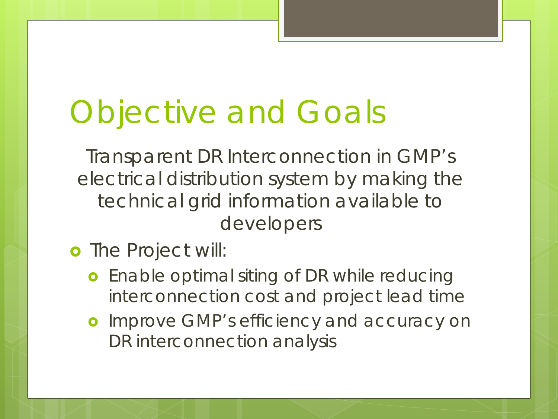# Objective and Goals

Transparent DR Interconnection in GMP's electrical distribution system by making the technical grid information available to developers

### o The Project will:

- **o** Enable optimal siting of DR while reducing interconnection cost and project lead time
- **o** Improve GMP's efficiency and accuracy on DR interconnection analysis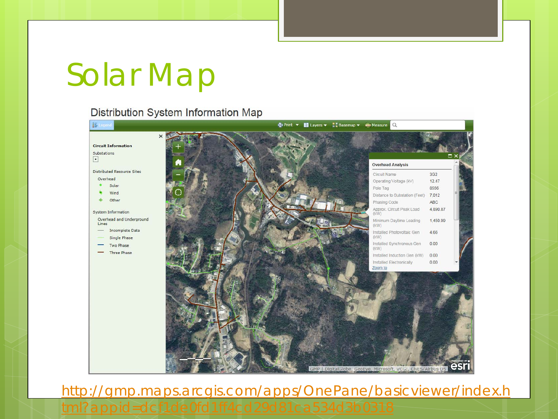## Solar Map

#### Distribution System Information Map



[http://gmp.maps.arcgis.com/apps/OnePane/basicviewer/index.h](http://gmp.maps.arcgis.com/apps/OnePane/basicviewer/index.html?appid=dcf1de0fd1ff4cd29d81ca534d3b0318)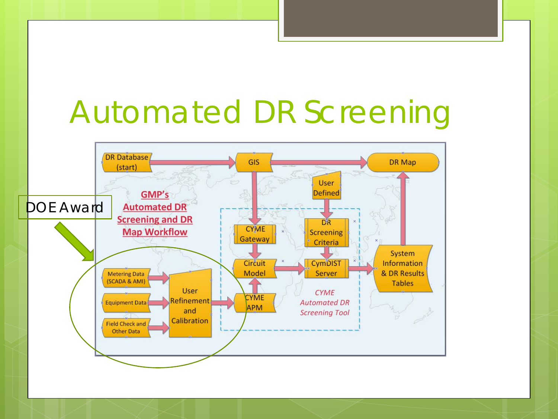# Automated DR Screening

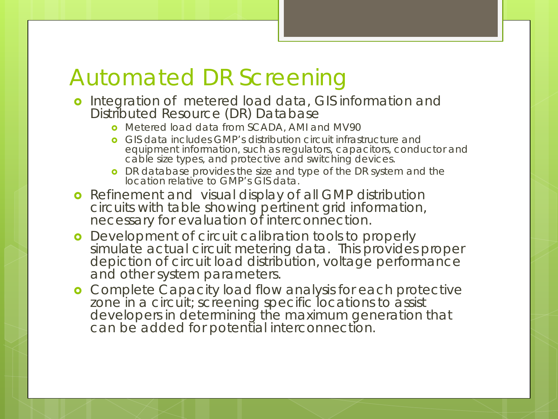### Automated DR Screening

- o Integration of metered load data, GIS information and Distributed Resource (DR) Database
	- **o** Metered load data from SCADA, AMI and MV90
	- GIS data includes GMP's distribution circuit infrastructure and equipment information, such as regulators, capacitors, conductor and cable size types, and protective and switching devices.
	- **o** DR database provides the size and type of the DR system and the location relative to GMP's GIS data.
- **•** Refinement and visual display of all GMP distribution circuits with table showing pertinent grid information, necessary for evaluation of interconnection.
- **o** Development of circuit calibration tools to properly simulate actual circuit metering data. This provides proper depiction of circuit load distribution, voltage performance and other system parameters.
- **o** Complete Capacity load flow analysis for each protective zone in a circuit; screening specific locations to assist developers in determining the maximum generation that can be added for potential interconnection.